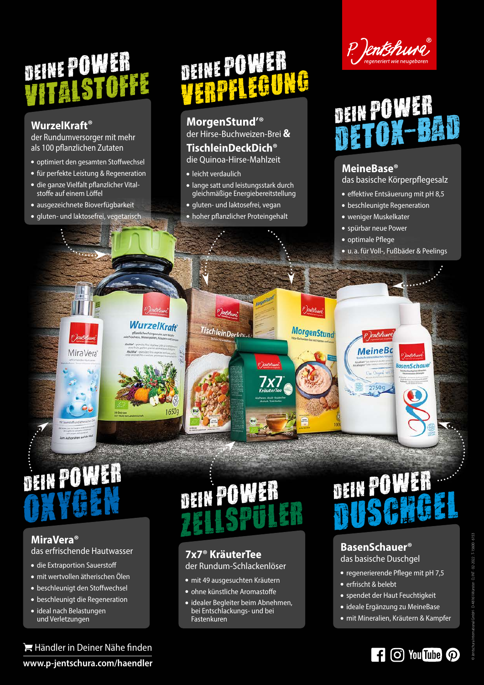## Deine Power Vitalstoffe

#### **WurzelKraft®**

der Rundumversorger mit mehr als 100 pflanzlichen Zutaten

- optimiert den gesamten Stoffwechsel
- für perfekte Leistung & Regeneration
- die ganze Vielfalt pflanzlicher Vitalstoffe auf einem Löffel
- ausgezeichnete Bioverfügbarkeit

MiraVera

gluten- und laktosefrei, vegetarisch

**WurzelKroff** 

16500

## Deine Power Verpf legung

**MorgenStund'®** der Hirse-Buchweizen-Brei **&**

#### **TischleinDeckDich®**

die Quinoa-Hirse-Mahlzeit

- leicht verdaulich
- lange satt und leistungsstark durch gleichmäßige Energiebereitstellung
- gluten- und laktosefrei, vegan

TischleinDerkni

hoher pflanzlicher Proteingehalt

Morgen Stuff

**MorgenStund** 





#### **MeineBase®**

das basische Körperpflegesalz

- effektive Entsäuerung mit pH 8,5
- beschleunigte Regeneration
- weniger Muskelkater
- spürbar neue Power

P)entshu **MeineBc** 

2750g

- optimale Pflege
- u. a. für Voll-, Fußbäder & Peelings

**BasenSchauer** 

## Dein Power

#### **MiraVera®** das erfrischende Hautwasser

- die Extraportion Sauerstoff
- mit wertvollen ätherischen Ölen
- beschleunigt den Stoffwechsel
- beschleunigt die Regeneration
- ideal nach Belastungen und Verletzungen

Händler in Deiner Nähe finden **www.p-jentschura.com/haendler** 

### Dein Power Zellspuler OXYGEN DEIN POWER<br>OXYGEN DEIN POWER DEIN POWER

#### **7x7® KräuterTee**

der Rundum-Schlackenlöser

- mit 49 ausgesuchten Kräutern
- ohne künstliche Aromastoffe
- **idealer Begleiter beim Abnehmen,** bei Entschlackungs- und bei Fastenkuren

# DEIN POWER

#### **BasenSchauer®**

das basische Duschgel

- regenerierende Pflege mit pH 7,5
- erfrischt & belebt
- spendet der Haut Feuchtigkeit
- ideale Ergänzung zu MeineBase
- mit Mineralien, Kräutern & Kampfer